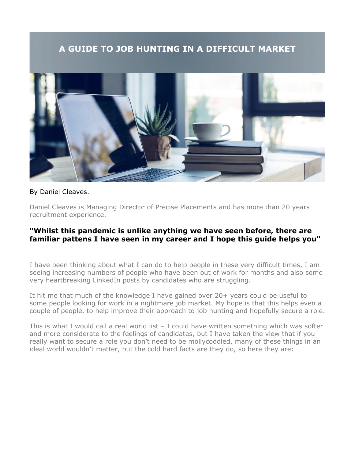# **A GUIDE TO JOB HUNTING IN A DIFFICULT MARKET**



#### By Daniel Cleaves.

Daniel Cleaves is Managing Director of Precise Placements and has more than 20 years recruitment experience.

### **"Whilst this pandemic is unlike anything we have seen before, there are familiar pattens I have seen in my career and I hope this guide helps you"**

I have been thinking about what I can do to help people in these very difficult times, I am seeing increasing numbers of people who have been out of work for months and also some very heartbreaking LinkedIn posts by candidates who are struggling.

It hit me that much of the knowledge I have gained over 20+ years could be useful to some people looking for work in a nightmare job market. My hope is that this helps even a couple of people, to help improve their approach to job hunting and hopefully secure a role.

This is what I would call a real world list  $-$  I could have written something which was softer and more considerate to the feelings of candidates, but I have taken the view that if you really want to secure a role you don't need to be mollycoddled, many of these things in an ideal world wouldn't matter, but the cold hard facts are they do, so here they are: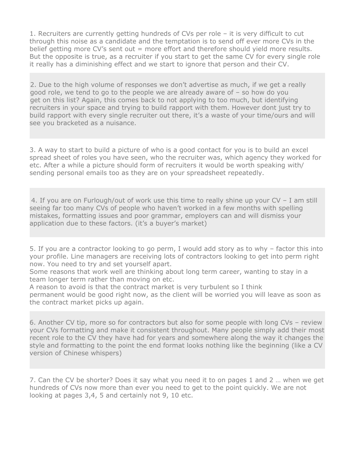1. Recruiters are currently getting hundreds of CVs per role – it is very difficult to cut through this noise as a candidate and the temptation is to send off ever more CVs in the belief getting more CV's sent out = more effort and therefore should vield more results. But the opposite is true, as a recruiter if you start to get the same CV for every single role it really has a diminishing effect and we start to ignore that person and their CV.

2. Due to the high volume of responses we don't advertise as much, if we get a really good role, we tend to go to the people we are already aware of – so how do you get on this list? Again, this comes back to not applying to too much, but identifying recruiters in your space and trying to build rapport with them. However dont just try to build rapport with every single recruiter out there, it's a waste of your time/ours and will see you bracketed as a nuisance.

3. A way to start to build a picture of who is a good contact for you is to build an excel spread sheet of roles you have seen, who the recruiter was, which agency they worked for etc. After a while a picture should form of recruiters it would be worth speaking with/ sending personal emails too as they are on your spreadsheet repeatedly.

4. If you are on Furlough/out of work use this time to really shine up your CV – I am still seeing far too many CVs of people who haven't worked in a few months with spelling mistakes, formatting issues and poor grammar, employers can and will dismiss your application due to these factors. (it's a buyer's market)

5. If you are a contractor looking to go perm, I would add story as to why – factor this into your profile. Line managers are receiving lots of contractors looking to get into perm right now. You need to try and set yourself apart.

Some reasons that work well are thinking about long term career, wanting to stay in a team longer term rather than moving on etc.

A reason to avoid is that the contract market is very turbulent so I think

permanent would be good right now, as the client will be worried you will leave as soon as the contract market picks up again.

6. Another CV tip, more so for contractors but also for some people with long CVs – review your CVs formatting and make it consistent throughout. Many people simply add their most recent role to the CV they have had for years and somewhere along the way it changes the style and formatting to the point the end format looks nothing like the beginning (like a CV version of Chinese whispers)

7. Can the CV be shorter? Does it say what you need it to on pages 1 and 2 … when we get hundreds of CVs now more than ever you need to get to the point quickly. We are not looking at pages 3,4, 5 and certainly not 9, 10 etc.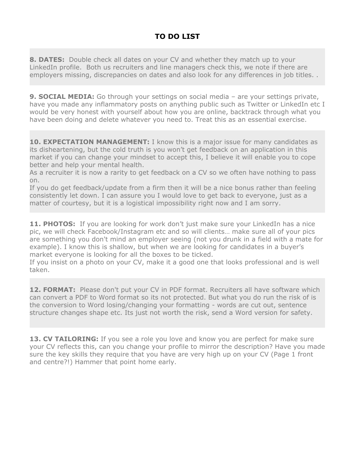## **TO DO LIST**

**8. DATES:** Double check all dates on your CV and whether they match up to your LinkedIn profile. Both us recruiters and line managers check this, we note if there are employers missing, discrepancies on dates and also look for any differences in job titles. .

**9. SOCIAL MEDIA:** Go through your settings on social media – are your settings private, have you made any inflammatory posts on anything public such as Twitter or LinkedIn etc I would be very honest with yourself about how you are online, backtrack through what you have been doing and delete whatever you need to. Treat this as an essential exercise.

**10. EXPECTATION MANAGEMENT:** I know this is a major issue for many candidates as its disheartening, but the cold truth is you won't get feedback on an application in this market if you can change your mindset to accept this, I believe it will enable you to cope better and help your mental health.

As a recruiter it is now a rarity to get feedback on a CV so we often have nothing to pass on.

If you do get feedback/update from a firm then it will be a nice bonus rather than feeling consistently let down. I can assure you I would love to get back to everyone, just as a matter of courtesy, but it is a logistical impossibility right now and I am sorry.

11. PHOTOS: If you are looking for work don't just make sure your LinkedIn has a nice pic, we will check Facebook/Instagram etc and so will clients… make sure all of your pics are something you don't mind an employer seeing (not you drunk in a field with a mate for example). I know this is shallow, but when we are looking for candidates in a buyer's market everyone is looking for all the boxes to be ticked.

If you insist on a photo on your CV, make it a good one that looks professional and is well taken.

**12. FORMAT:** Please don't put your CV in PDF format. Recruiters all have software which can convert a PDF to Word format so its not protected. But what you do run the risk of is the conversion to Word losing/changing your formatting - words are cut out, sentence structure changes shape etc. Its just not worth the risk, send a Word version for safety.

13. **CV TAILORING:** If you see a role you love and know you are perfect for make sure your CV reflects this, can you change your profile to mirror the description? Have you made sure the key skills they require that you have are very high up on your CV (Page 1 front and centre?!) Hammer that point home early.